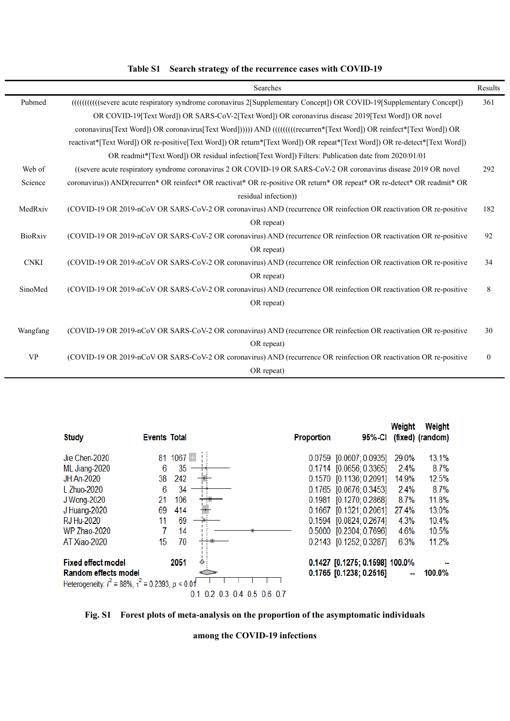|             | Searches                                                                                                                  | Results          |  |  |  |  |  |  |  |
|-------------|---------------------------------------------------------------------------------------------------------------------------|------------------|--|--|--|--|--|--|--|
| Pubmed      | (((((((((((severe acute respiratory syndrome coronavirus 2[Supplementary Concept)) OR COVID-19[Supplementary Concept])    |                  |  |  |  |  |  |  |  |
|             | OR COVID-19 [Text Word]) OR SARS-CoV-2 [Text Word]) OR coronavirus disease 2019 [Text Word]) OR novel                     |                  |  |  |  |  |  |  |  |
|             | coronavirus[Text Word]) OR coronavirus[Text Word])))) AND (((((((recurren*[Text Word]) OR reinfect*[Text Word]) OR        |                  |  |  |  |  |  |  |  |
|             | reactivat*[Text Word]) OR re-positive[Text Word]) OR return*[Text Word]) OR repeat*[Text Word]) OR re-detect*[Text Word]) |                  |  |  |  |  |  |  |  |
|             | OR readmit* [Text Word]) OR residual infection [Text Word]) Filters: Publication date from 2020/01/01                     |                  |  |  |  |  |  |  |  |
| Web of      | ((severe acute respiratory syndrome coronavirus 2 OR COVID-19 OR SARS-CoV-2 OR coronavirus disease 2019 OR novel          | 292              |  |  |  |  |  |  |  |
| Science     | coronavirus)) AND(recurren* OR reinfect* OR reactivat* OR re-positive OR return* OR repeat* OR re-detect* OR readmit* OR  |                  |  |  |  |  |  |  |  |
|             | residual infection))                                                                                                      |                  |  |  |  |  |  |  |  |
| MedRxiv     | (COVID-19 OR 2019-nCoV OR SARS-CoV-2 OR coronavirus) AND (recurrence OR reinfection OR reactivation OR re-positive        | 182              |  |  |  |  |  |  |  |
|             | OR repeat)                                                                                                                |                  |  |  |  |  |  |  |  |
| BioRxiv     | (COVID-19 OR 2019-nCoV OR SARS-CoV-2 OR coronavirus) AND (recurrence OR reinfection OR reactivation OR re-positive        | 92               |  |  |  |  |  |  |  |
|             | OR repeat)                                                                                                                |                  |  |  |  |  |  |  |  |
| <b>CNKI</b> | (COVID-19 OR 2019-nCoV OR SARS-CoV-2 OR coronavirus) AND (recurrence OR reinfection OR reactivation OR re-positive        | 34               |  |  |  |  |  |  |  |
|             | OR repeat)                                                                                                                |                  |  |  |  |  |  |  |  |
| SinoMed     | (COVID-19 OR 2019-nCoV OR SARS-CoV-2 OR coronavirus) AND (recurrence OR reinfection OR reactivation OR re-positive        | 8                |  |  |  |  |  |  |  |
|             | OR repeat)                                                                                                                |                  |  |  |  |  |  |  |  |
|             |                                                                                                                           |                  |  |  |  |  |  |  |  |
| Wangfang    | (COVID-19 OR 2019-nCoV OR SARS-CoV-2 OR coronavirus) AND (recurrence OR reinfection OR reactivation OR re-positive        | 30               |  |  |  |  |  |  |  |
|             | OR repeat)                                                                                                                |                  |  |  |  |  |  |  |  |
| <b>VP</b>   | (COVID-19 OR 2019-nCoV OR SARS-CoV-2 OR coronavirus) AND (recurrence OR reinfection OR reactivation OR re-positive        | $\boldsymbol{0}$ |  |  |  |  |  |  |  |
|             | OR repeat)                                                                                                                |                  |  |  |  |  |  |  |  |

|  |  |  | Table S1 Search strategy of the recurrence cases with COVID-19 |
|--|--|--|----------------------------------------------------------------|
|--|--|--|----------------------------------------------------------------|



**Fig. S1 Forest plots of meta-analysis on the proportion of the asymptomatic individuals** 

**among the COVID-19 infections**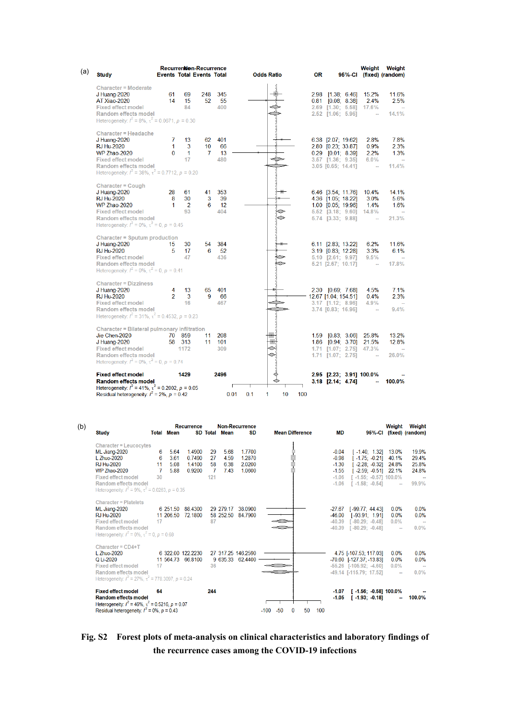| <b>Study</b>                                                                         | <b>Events Total Events Total</b> |                      | Recurrentien-Recurrence |           | <b>Odds Ratio</b>             | <b>OR</b> |                                              | Weight       | Weight<br>95%-Cl (fixed) (random) |
|--------------------------------------------------------------------------------------|----------------------------------|----------------------|-------------------------|-----------|-------------------------------|-----------|----------------------------------------------|--------------|-----------------------------------|
|                                                                                      |                                  |                      |                         |           |                               |           |                                              |              |                                   |
| <b>Character = Moderate</b><br>J Huang-2020                                          | 61                               | 69                   | 248                     | 345       |                               |           | 2.98 [1.38; 6.46]                            | 15.2%        | 11.6%                             |
| AT Xiao-2020                                                                         | 14                               | 15                   | 52                      | 55        |                               |           | $0.81$ $[0.08; 8.38]$                        | 2.4%         | 2.5%                              |
| <b>Fixed effect model</b>                                                            |                                  | 84                   |                         | 400       |                               |           | 2.69 [1.30; 5.58] 17.6%                      |              | $\sim$                            |
| Random effects model                                                                 |                                  |                      |                         |           |                               |           | 2.52 [1.06; 5.96]                            | $\sim$       | 14.1%                             |
| Heterogeneity: $l^2 = 8\%$ , $\tau^2 = 0.0671$ , $p = 0.30$                          |                                  |                      |                         |           |                               |           |                                              |              |                                   |
| Character = Headache                                                                 |                                  |                      |                         |           |                               |           |                                              |              |                                   |
| J Huang-2020                                                                         | 7                                | 13                   | 62                      | 401       |                               |           | 6.38 [2.07; 19.62]                           | 2.8%         | 7.8%                              |
| <b>RJ Hu-2020</b>                                                                    | 1                                | 3                    | 10                      | 66        |                               |           | 2.80 [0.23; 33.87]                           | 0.9%         | 2.3%                              |
| WP Zhao-2020<br><b>Fixed effect model</b>                                            | $\Omega$                         | $\mathbf{1}$<br>17   | 7                       | 13<br>480 |                               |           | $0.29$ $[0.01; 8.39]$                        | 2.2%<br>6.0% | 1.3%<br>$\sim$                    |
| Random effects model                                                                 |                                  |                      |                         |           |                               |           | $3.57$ [1.36; 9.35]<br>3.05 [0.65; 14.41]    | $\sim$       | 11.4%                             |
| Heterogeneity: $l^2 = 38\%$ , $\tau^2 = 0.7712$ , $p = 0.20$                         |                                  |                      |                         |           |                               |           |                                              |              |                                   |
| Character = $Cough$                                                                  |                                  |                      |                         |           |                               |           |                                              |              |                                   |
| J Huang-2020                                                                         | 28                               | 61                   | 41                      | 353       |                               |           | 6.46 [3.54; 11.76]                           | 10.4%        | 14.1%                             |
| <b>RJ Hu-2020</b>                                                                    | 8                                | 30                   | 3                       | 39        |                               |           | 4.36 [1.05; 18.22]                           | 3.0%         | 5.6%                              |
| <b>WP Zhao-2020</b><br><b>Fixed effect model</b>                                     | 1                                | $\overline{2}$<br>93 | 6                       | 12<br>404 |                               |           | $1.00$ $[0.05; 19.96]$                       | 1.4%         | 1.6%                              |
| Random effects model                                                                 |                                  |                      |                         |           |                               |           | 5.52 [3.18; 9.60] 14.8%<br>5.74 [3.33; 9.88] | $\sim$       | 21.3%                             |
| Heterogeneity: $l^2 = 0\%$ , $\tau^2 = 0$ , $p = 0.45$                               |                                  |                      |                         |           |                               |           |                                              |              |                                   |
| Character = Sputum production                                                        |                                  |                      |                         |           |                               |           |                                              |              |                                   |
| J Huang-2020                                                                         | 15                               | 30                   | 54                      | 384       |                               |           | 6.11 [2.83; 13.22]                           | 6.2%         | 11.6%                             |
| <b>RJ Hu-2020</b>                                                                    | 5                                | 17                   | 6                       | 52        |                               |           | 3.19 [0.83; 12.28]                           | 3.3%         | 6.1%                              |
| <b>Fixed effect model</b>                                                            |                                  | 47                   |                         | 436       |                               |           | 5.10 [2.61; 9.97]                            | 9.5%         | $\sim$                            |
| Random effects model<br>Heterogeneity: $l^2 = 0\%$ , $\tau^2 = 0$ , $p = 0.41$       |                                  |                      |                         |           |                               |           | 5.21 [2.67; 10.17]                           | $\sim$       | 17.8%                             |
| <b>Character = Dizziness</b>                                                         |                                  |                      |                         |           |                               |           |                                              |              |                                   |
| J Huang-2020                                                                         | 4                                | 13                   | 65                      | 401       |                               |           | $2.30$ $[0.69; 7.68]$                        | 4.5%         | 7.1%                              |
| <b>RJ Hu-2020</b>                                                                    | $\overline{2}$                   | 3                    | 9                       | 66        |                               |           | 12.67 [1.04; 154.51]                         | 0.4%         | 2.3%                              |
| <b>Fixed effect model</b>                                                            |                                  | 16                   |                         | 467       |                               |           | $3.17$ [1.12; 8.96]                          | 4.9%         | $\sim$                            |
| Random effects model<br>Heterogeneity: $l^2 = 31\%$ , $\tau^2 = 0.4532$ , $p = 0.23$ |                                  |                      |                         |           |                               |           | 3.74 [0.83; 16.96]                           |              | 9.4%                              |
| Character = Bilateral pulmonary infiltration                                         |                                  |                      |                         |           |                               |           |                                              |              |                                   |
| Jie Chen-2020                                                                        |                                  | 70 859               | 11                      | 208       |                               |           | $1.59$ $[0.83; 3.06]$                        | 25.8%        | 13.2%                             |
| J Huang-2020                                                                         |                                  | 58 313               | 11                      | 101       |                               |           | $1.86$ [0.94; 3.70]                          | 21.5%        | 12.8%                             |
| <b>Fixed effect model</b>                                                            |                                  | 1172                 |                         | 309       |                               |           | 1.71 [1.07; 2.75] 47.3%                      |              |                                   |
| Random effects model<br>Heterogeneity: $l^2 = 0\%$ , $\tau^2 = 0$ , $p = 0.74$       |                                  |                      |                         |           |                               |           | $1.71$ [1.07; 2.75]                          | $\sim$       | 26.0%                             |
| <b>Fixed effect model</b>                                                            |                                  | 1429                 |                         | 2496      |                               |           | 2.95 [2.23; 3.91] 100.0%                     |              |                                   |
| <b>Random effects model</b>                                                          |                                  |                      |                         |           |                               |           | 3.18 [2.14; 4.74]                            |              | 100.0%                            |
| Heterogeneity: $l^2 = 41\%$ , $\tau^2 = 0.2002$ , $p = 0.05$                         |                                  |                      |                         |           |                               |           |                                              |              |                                   |
| Residual heterogeneity: $l^2 = 2\%$ , $p = 0.42$                                     |                                  |                      |                         |           | 0.1<br>0.01<br>1<br>10<br>100 |           |                                              |              |                                   |

| (b) | Study                                                                                                                                                                                                                         |                         | <b>Total Mean</b>           | Recurrence                             |                            | <b>SD Total Mean</b>         | <b>Non-Recurrence</b><br>SD            |                 | <b>Mean Difference</b>    | <b>MD</b>                                                      |                                                                                                                  |                                                                                              | Weight Weight<br>95%-Cl (fixed) (random)  |
|-----|-------------------------------------------------------------------------------------------------------------------------------------------------------------------------------------------------------------------------------|-------------------------|-----------------------------|----------------------------------------|----------------------------|------------------------------|----------------------------------------|-----------------|---------------------------|----------------------------------------------------------------|------------------------------------------------------------------------------------------------------------------|----------------------------------------------------------------------------------------------|-------------------------------------------|
|     | <b>Character = Leucocytes</b><br>ML Jiang-2020<br>L Zhuo-2020<br><b>RJ Hu-2020</b><br><b>WP Zhao-2020</b><br><b>Fixed effect model</b><br>Random effects model<br>Heterogeneity: $I^2 = 9\%$ , $\tau^2 = 0.0263$ , $p = 0.35$ | 6<br>6<br>11<br>7<br>30 | 5.64<br>3.61<br>508<br>5.88 | 1.4900<br>0.7490<br>14100<br>0.9200    | 29<br>27<br>58<br>7<br>121 | 5.68<br>4.59<br>6.38<br>7.43 | 1.7700<br>1.2870<br>2.0200<br>1.0600   |                 |                           | $-0.04$<br>$-0.98$<br>$-1.30$<br>$-1.55$<br>$-1.06$<br>$-1.06$ | $[-1.75, -0.21]$<br>$1 - 1.55$ ; $-0.57$ ] 100.0%<br>$\Gamma$ -1.58: -0.541                                      | $[-1.40; 1.32]$ 13.0%<br>40.1%<br>$[-2.28; -0.32]$ 24.8%<br>$[-2.59; -0.51]$ 22.1%<br>$\sim$ | 19.9%<br>29.4%<br>25.8%<br>24.8%<br>99.9% |
|     | <b>Character = Platelets</b><br>ML Jiang-2020<br><b>RJ Hu-2020</b><br><b>Fixed effect model</b><br>Random effects model<br>Heterogeneity: $I^2 = 0\%$ , $\tau^2 = 0$ , $p = 0.68$                                             | 17                      | 6 251.50<br>11 206.50       | 88 4300<br>72.1800                     | 87                         | 29 279 17<br>58 252.50       | 38.0900<br>84.7900                     |                 |                           | $-46.00$<br>$-40.39$<br>$-40.39$                               | $-27.67$ [ $-99.77$ ; 44.43]<br>$[-93.91; 1.91]$<br>$\Gamma$ -80.29: -0.481<br>$[-80.29; -0.48]$                 | $0.0\%$<br>0.0%<br>$0.0\%$<br>$\sim$                                                         | 0.0%<br>0.0%<br>$\sim$<br>$0.0\%$         |
|     | Character = $CD4+T$<br>L Zhuo-2020<br>Q1i-2020<br><b>Fixed effect model</b><br>Random effects model<br>Heterogeneity: $I^2 = 27\%$ , $\tau^2 = 778.3097$ , $p = 0.24$                                                         | 17                      |                             | 6 322 00 122 2230<br>11 564 73 66 8100 | 36                         |                              | 27 317.25 146.2590<br>9 635.33 62.4400 |                 |                           |                                                                | 4.75 [-107.53; 117.03]<br>$-70.60$ $[-127.37; -13.83]$<br>$-55.26$ $[-105.92; -4.60]$<br>-49.14 T-115.79: 17.521 | $0.0\%$<br>0.0%<br>$0.0\%$<br>$\sim$                                                         | 0.0%<br>0.0%<br>$\sim$<br>$0.0\%$         |
|     | <b>Fixed effect model</b><br><b>Random effects model</b><br>Heterogeneity: $l^2 = 46\%$ , $\tau^2 = 0.5216$ , $p = 0.07$<br>Residual heterogeneity: $I^2 = 0\%$ , $p = 0.43$                                                  | 64                      |                             |                                        | 244                        |                              |                                        | $-50$<br>$-100$ | 50<br>100<br>$\mathbf{0}$ | $-1.07$<br>$-1.05$                                             | $[-1.56; -0.58]$ 100.0%<br>$[-1.93, 0.18]$                                                                       | ÷.                                                                                           | 100.0%                                    |

## **Fig. S2 Forest plots of meta-analysis on clinical characteristics and laboratory findings of the recurrence cases among the COVID-19 infections**